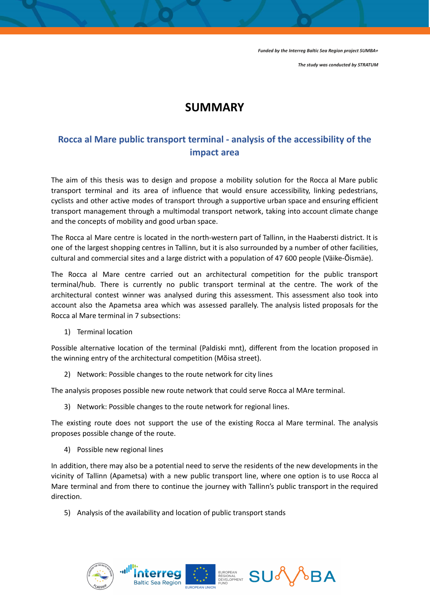*Funded by the Interreg Baltic Sea Region project SUMBA+*

*The study was conducted by STRATUM*

## **SUMMARY**

## **Rocca al Mare public transport terminal - analysis of the accessibility of the impact area**

The aim of this thesis was to design and propose a mobility solution for the Rocca al Mare public transport terminal and its area of influence that would ensure accessibility, linking pedestrians, cyclists and other active modes of transport through a supportive urban space and ensuring efficient transport management through a multimodal transport network, taking into account climate change and the concepts of mobility and good urban space.

The Rocca al Mare centre is located in the north-western part of Tallinn, in the Haabersti district. It is one of the largest shopping centres in Tallinn, but it is also surrounded by a number of other facilities, cultural and commercial sites and a large district with a population of 47 600 people (Väike-Õismäe).

The Rocca al Mare centre carried out an architectural competition for the public transport terminal/hub. There is currently no public transport terminal at the centre. The work of the architectural contest winner was analysed during this assessment. This assessment also took into account also the Apametsa area which was assessed parallely. The analysis listed proposals for the Rocca al Mare terminal in 7 subsections:

1) Terminal location

Possible alternative location of the terminal (Paldiski mnt), different from the location proposed in the winning entry of the architectural competition (Mõisa street).

2) Network: Possible changes to the route network for city lines

The analysis proposes possible new route network that could serve Rocca al MAre terminal.

3) Network: Possible changes to the route network for regional lines.

The existing route does not support the use of the existing Rocca al Mare terminal. The analysis proposes possible change of the route.

4) Possible new regional lines

In addition, there may also be a potential need to serve the residents of the new developments in the vicinity of Tallinn (Apametsa) with a new public transport line, where one option is to use Rocca al Mare terminal and from there to continue the journey with Tallinn's public transport in the required direction.

5) Analysis of the availability and location of public transport stands